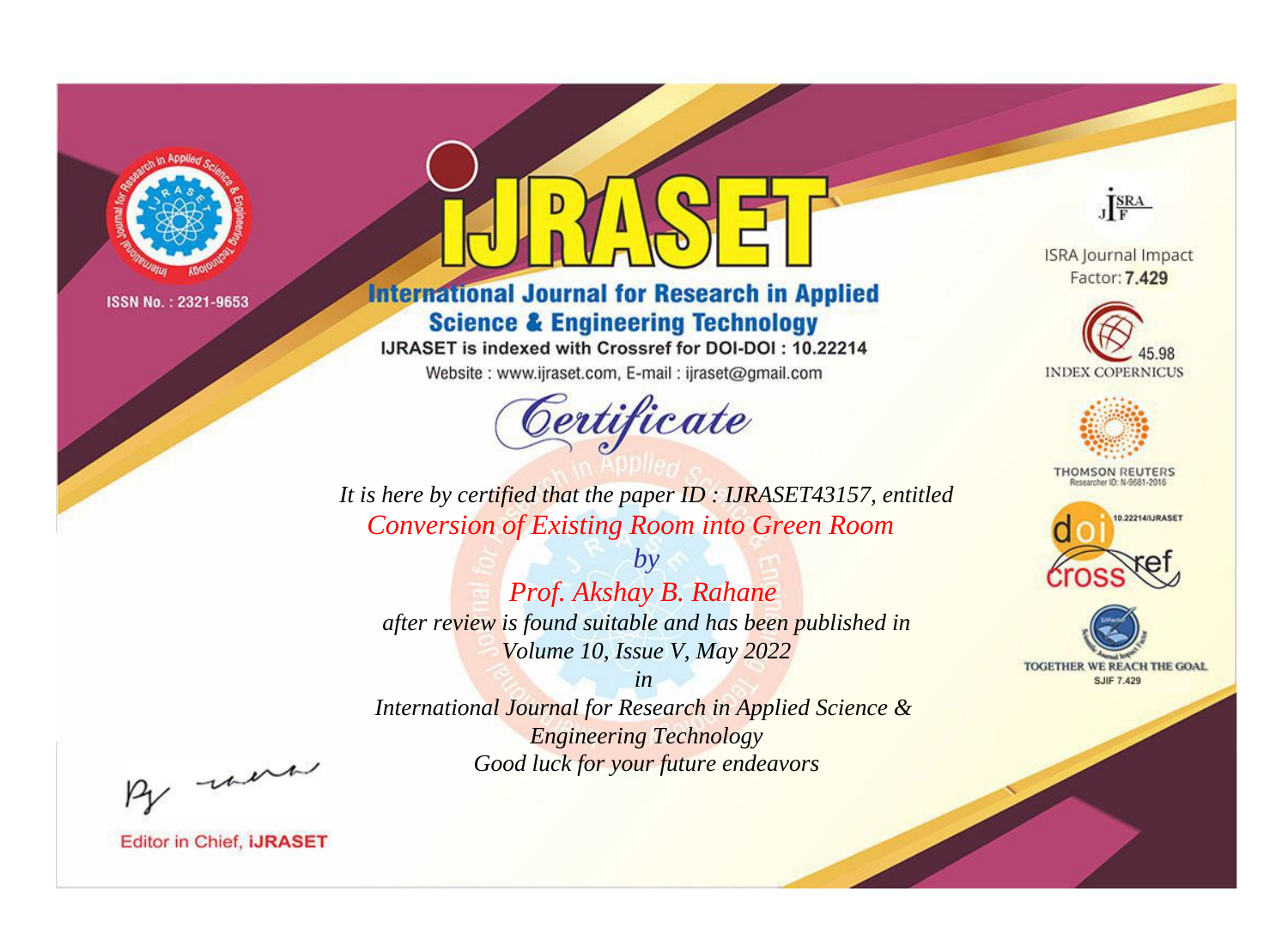

# **International Journal for Research in Applied Science & Engineering Technology**

IJRASET is indexed with Crossref for DOI-DOI: 10.22214

Website: www.ijraset.com, E-mail: ijraset@gmail.com



JERA

**ISRA Journal Impact** Factor: 7.429





**THOMSON REUTERS** 



TOGETHER WE REACH THE GOAL **SJIF 7.429** 

*It is here by certified that the paper ID : IJRASET43157, entitled Conversion of Existing Room into Green Room*

*by Prof. Akshay B. Rahane after review is found suitable and has been published in Volume 10, Issue V, May 2022*

*in* 

*International Journal for Research in Applied Science & Engineering Technology Good luck for your future endeavors*

By morn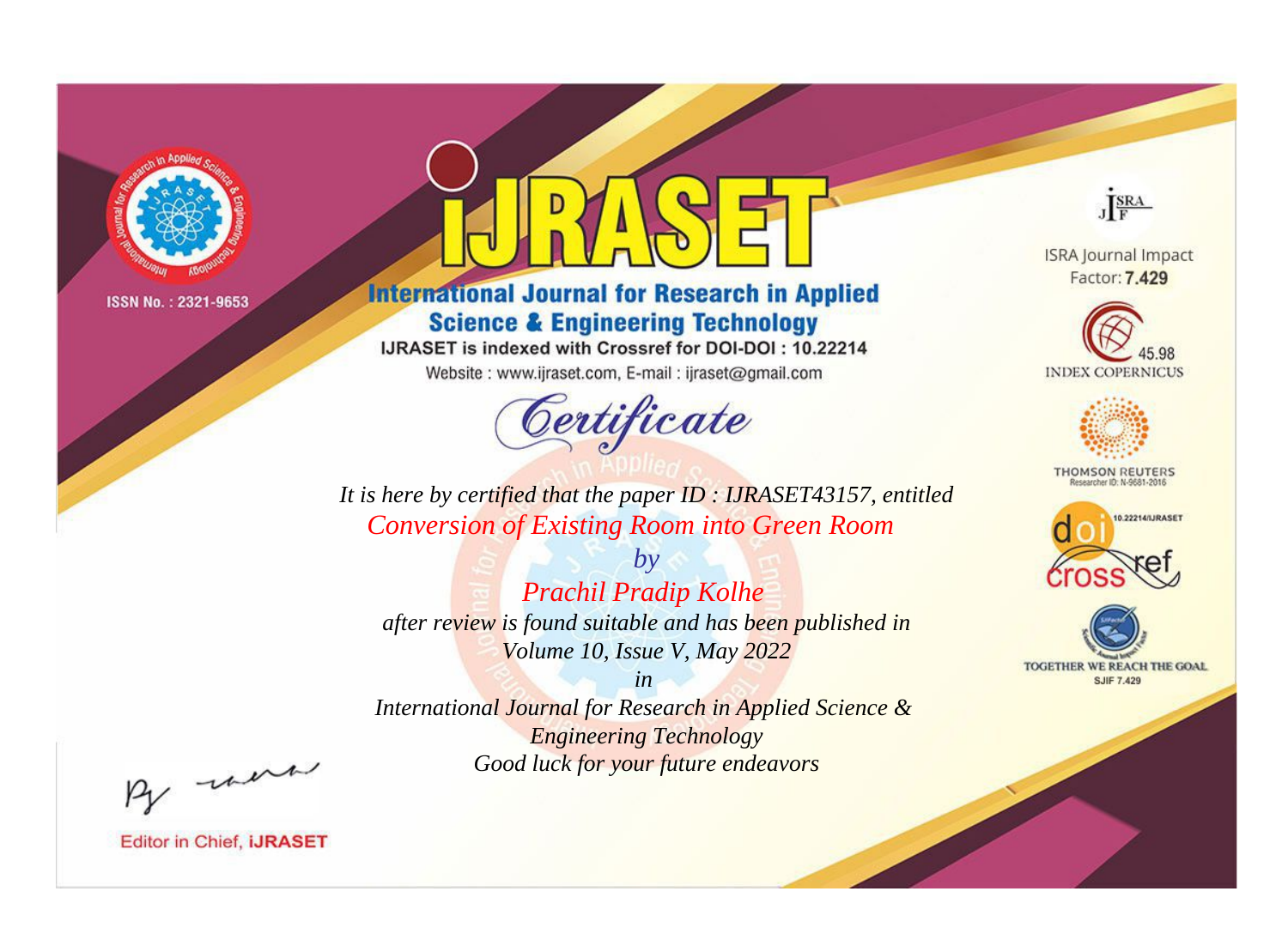

# **International Journal for Research in Applied Science & Engineering Technology**

IJRASET is indexed with Crossref for DOI-DOI: 10.22214

Website: www.ijraset.com, E-mail: ijraset@gmail.com



JERA

**ISRA Journal Impact** Factor: 7.429





**THOMSON REUTERS** 



TOGETHER WE REACH THE GOAL **SJIF 7.429** 

It is here by certified that the paper ID: IJRASET43157, entitled **Conversion of Existing Room into Green Room** 

 $b\nu$ **Prachil Pradip Kolhe** after review is found suitable and has been published in Volume 10, Issue V, May 2022

 $in$ International Journal for Research in Applied Science & **Engineering Technology** Good luck for your future endeavors

By morn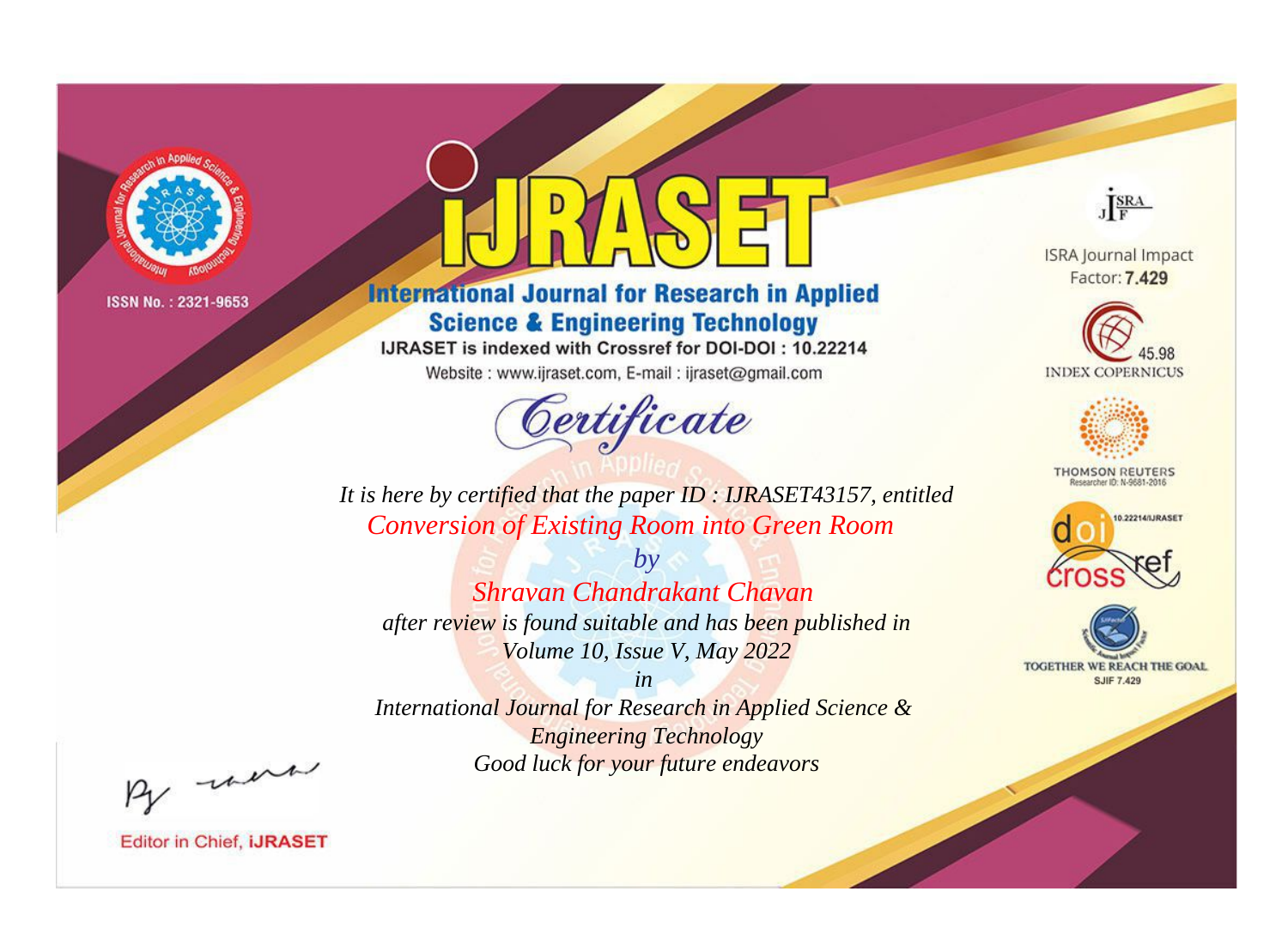

# **International Journal for Research in Applied Science & Engineering Technology**

IJRASET is indexed with Crossref for DOI-DOI: 10.22214

Website: www.ijraset.com, E-mail: ijraset@gmail.com



JERA

**ISRA Journal Impact** Factor: 7.429





**THOMSON REUTERS** 



TOGETHER WE REACH THE GOAL **SJIF 7.429** 

*It is here by certified that the paper ID : IJRASET43157, entitled Conversion of Existing Room into Green Room*

*by Shravan Chandrakant Chavan after review is found suitable and has been published in Volume 10, Issue V, May 2022*

*in* 

*International Journal for Research in Applied Science & Engineering Technology Good luck for your future endeavors*

By morn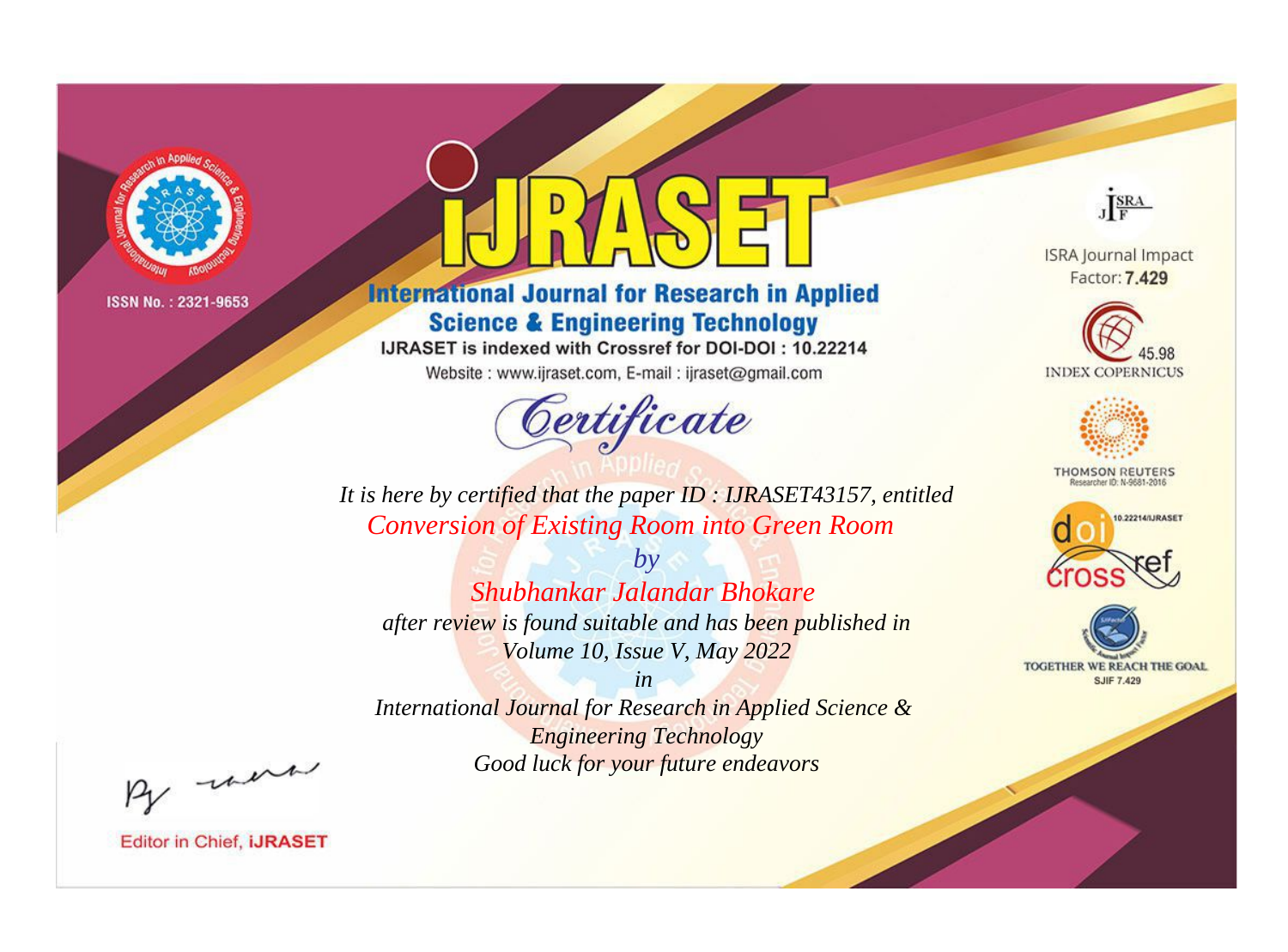

# **International Journal for Research in Applied Science & Engineering Technology**

IJRASET is indexed with Crossref for DOI-DOI: 10.22214

Website: www.ijraset.com, E-mail: ijraset@gmail.com



JERA

**ISRA Journal Impact** Factor: 7.429





**THOMSON REUTERS** 



TOGETHER WE REACH THE GOAL **SJIF 7.429** 

It is here by certified that the paper ID: IJRASET43157, entitled **Conversion of Existing Room into Green Room** 

 $b\nu$ Shubhankar Jalandar Bhokare after review is found suitable and has been published in Volume 10, Issue V, May 2022

 $in$ International Journal for Research in Applied Science & **Engineering Technology** Good luck for your future endeavors

By morn